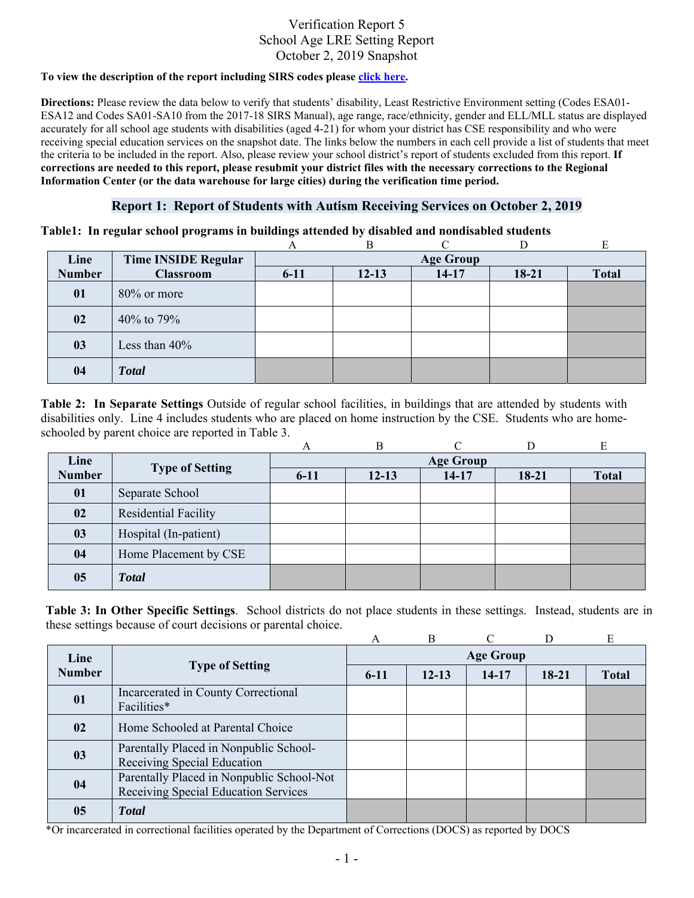## Verification Report 5 School Age LRE Setting Report October 2, 2019 Snapshot

#### **To view the description of the report including SIRS codes please click here.**

**Directions:** Please review the data below to verify that students' disability, Least Restrictive Environment setting (Codes ESA01- ESA12 and Codes SA01-SA10 from the 2017-18 SIRS Manual), age range, race/ethnicity, gender and ELL/MLL status are displayed accurately for all school age students with disabilities (aged 4-21) for whom your district has CSE responsibility and who were receiving special education services on the snapshot date. The links below the numbers in each cell provide a list of students that meet the criteria to be included in the report. Also, please review your school district's report of students excluded from this report. **If corrections are needed to this report, please resubmit your district files with the necessary corrections to the Regional Information Center (or the data warehouse for large cities) during the verification time period.**

### **Report 1: Report of Students with Autism Receiving Services on October 2, 2019**

**Table1: In regular school programs in buildings attended by disabled and nondisabled students** 

|               |                            |                  | R         |           |         | E            |  |  |
|---------------|----------------------------|------------------|-----------|-----------|---------|--------------|--|--|
| Line          | <b>Time INSIDE Regular</b> | <b>Age Group</b> |           |           |         |              |  |  |
| <b>Number</b> | <b>Classroom</b>           | $6 - 11$         | $12 - 13$ | $14 - 17$ | $18-21$ | <b>Total</b> |  |  |
| 01            | 80% or more                |                  |           |           |         |              |  |  |
| 02            | 40\% to 79\%               |                  |           |           |         |              |  |  |
| 03            | Less than $40\%$           |                  |           |           |         |              |  |  |
| 04            | <b>Total</b>               |                  |           |           |         |              |  |  |

**Table 2: In Separate Settings** Outside of regular school facilities, in buildings that are attended by students with disabilities only. Line 4 includes students who are placed on home instruction by the CSE. Students who are homeschooled by parent choice are reported in Table 3.

|               |                        | А                | B         |           | D     |              |  |  |
|---------------|------------------------|------------------|-----------|-----------|-------|--------------|--|--|
| Line          |                        | <b>Age Group</b> |           |           |       |              |  |  |
| <b>Number</b> | <b>Type of Setting</b> | $6 - 11$         | $12 - 13$ | $14 - 17$ | 18-21 | <b>Total</b> |  |  |
| 01            | Separate School        |                  |           |           |       |              |  |  |
| 02            | Residential Facility   |                  |           |           |       |              |  |  |
| 03            | Hospital (In-patient)  |                  |           |           |       |              |  |  |
| 04            | Home Placement by CSE  |                  |           |           |       |              |  |  |
| 05            | <b>Total</b>           |                  |           |           |       |              |  |  |

**Table 3: In Other Specific Settings**. School districts do not place students in these settings. Instead, students are in these settings because of court decisions or parental choice.

|               |                                                                                   | A                | B         |           |         | E            |  |  |
|---------------|-----------------------------------------------------------------------------------|------------------|-----------|-----------|---------|--------------|--|--|
| Line          | <b>Type of Setting</b>                                                            | <b>Age Group</b> |           |           |         |              |  |  |
| <b>Number</b> |                                                                                   | $6 - 11$         | $12 - 13$ | $14 - 17$ | $18-21$ | <b>Total</b> |  |  |
| 01            | Incarcerated in County Correctional<br>Facilities*                                |                  |           |           |         |              |  |  |
| 02            | Home Schooled at Parental Choice                                                  |                  |           |           |         |              |  |  |
| 03            | Parentally Placed in Nonpublic School-<br>Receiving Special Education             |                  |           |           |         |              |  |  |
| 04            | Parentally Placed in Nonpublic School-Not<br>Receiving Special Education Services |                  |           |           |         |              |  |  |
| 05            | <b>Total</b>                                                                      |                  |           |           |         |              |  |  |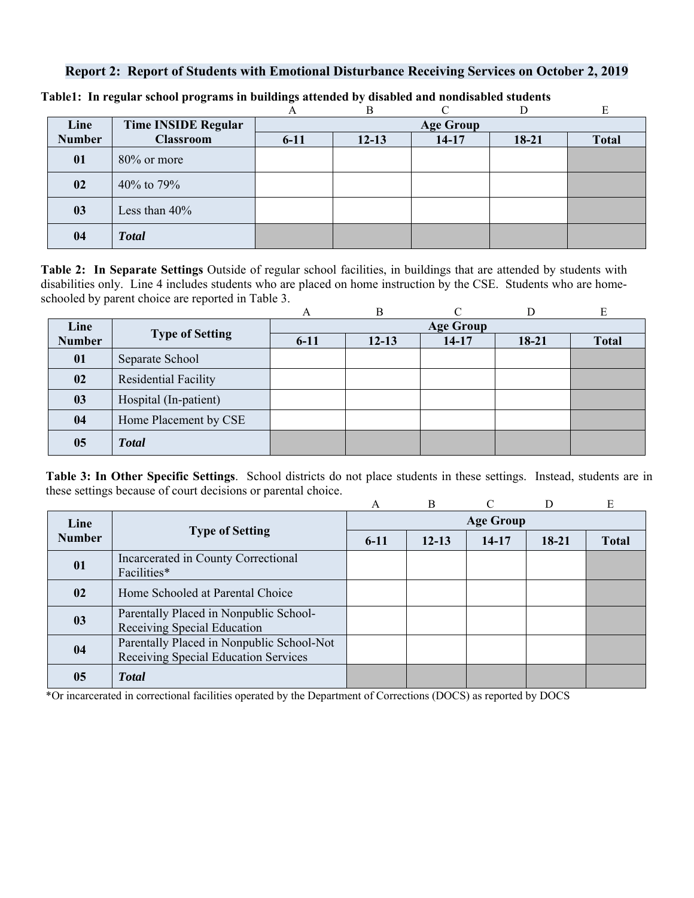## **Report 2: Report of Students with Emotional Disturbance Receiving Services on October 2, 2019**

|               |                            |          | В                |         |         |              |  |  |  |
|---------------|----------------------------|----------|------------------|---------|---------|--------------|--|--|--|
| Line          | <b>Time INSIDE Regular</b> |          | <b>Age Group</b> |         |         |              |  |  |  |
| <b>Number</b> | <b>Classroom</b>           | $6 - 11$ | $12 - 13$        | $14-17$ | $18-21$ | <b>Total</b> |  |  |  |
| 01            | $80\%$ or more             |          |                  |         |         |              |  |  |  |
| 02            | 40% to 79%                 |          |                  |         |         |              |  |  |  |
| 03            | Less than $40\%$           |          |                  |         |         |              |  |  |  |
| 04            | <b>Total</b>               |          |                  |         |         |              |  |  |  |

**Table1: In regular school programs in buildings attended by disabled and nondisabled students** 

**Table 2: In Separate Settings** Outside of regular school facilities, in buildings that are attended by students with disabilities only. Line 4 includes students who are placed on home instruction by the CSE. Students who are homeschooled by parent choice are reported in Table 3.

|               |                             | A                | B         |         |         | E            |  |  |
|---------------|-----------------------------|------------------|-----------|---------|---------|--------------|--|--|
| Line          | <b>Type of Setting</b>      | <b>Age Group</b> |           |         |         |              |  |  |
| <b>Number</b> |                             | $6 - 11$         | $12 - 13$ | $14-17$ | $18-21$ | <b>Total</b> |  |  |
| 01            | Separate School             |                  |           |         |         |              |  |  |
| 02            | <b>Residential Facility</b> |                  |           |         |         |              |  |  |
| 03            | Hospital (In-patient)       |                  |           |         |         |              |  |  |
| 04            | Home Placement by CSE       |                  |           |         |         |              |  |  |
| 05            | <b>Total</b>                |                  |           |         |         |              |  |  |

**Table 3: In Other Specific Settings**. School districts do not place students in these settings. Instead, students are in these settings because of court decisions or parental choice.

|               |                                                                                   | A                | <sub>B</sub> |           | D         | E            |  |  |
|---------------|-----------------------------------------------------------------------------------|------------------|--------------|-----------|-----------|--------------|--|--|
| Line          |                                                                                   | <b>Age Group</b> |              |           |           |              |  |  |
| <b>Number</b> | <b>Type of Setting</b>                                                            | $6-11$           | $12 - 13$    | $14 - 17$ | $18 - 21$ | <b>Total</b> |  |  |
| 01            | Incarcerated in County Correctional<br>Facilities*                                |                  |              |           |           |              |  |  |
| 02            | Home Schooled at Parental Choice                                                  |                  |              |           |           |              |  |  |
| 03            | Parentally Placed in Nonpublic School-<br>Receiving Special Education             |                  |              |           |           |              |  |  |
| 04            | Parentally Placed in Nonpublic School-Not<br>Receiving Special Education Services |                  |              |           |           |              |  |  |
| 05            | <b>T</b> otal                                                                     |                  |              |           |           |              |  |  |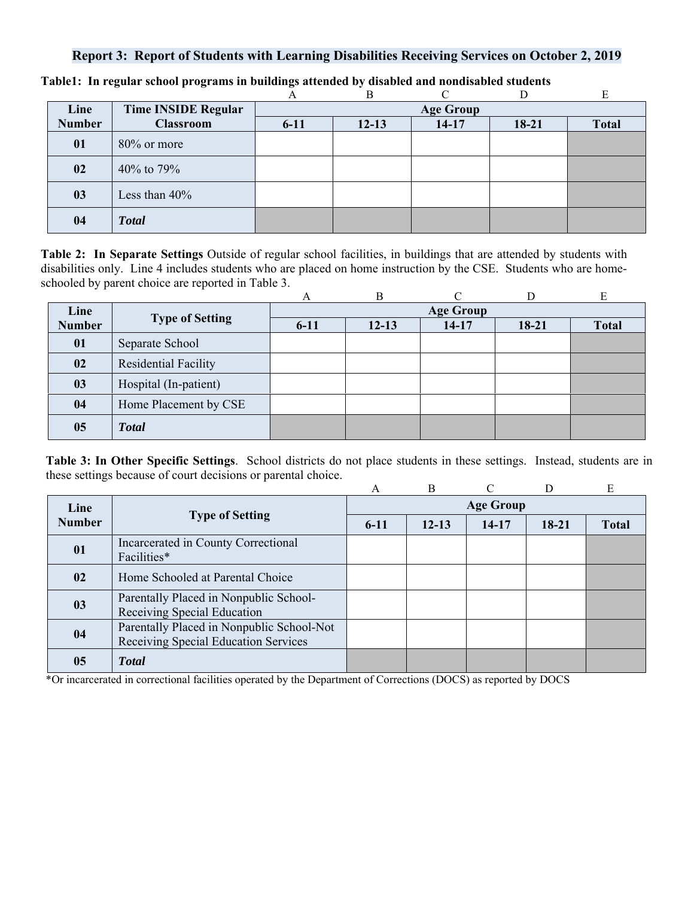### **Report 3: Report of Students with Learning Disabilities Receiving Services on October 2, 2019**

|               |                            |          | в                |           |       |              |  |  |  |
|---------------|----------------------------|----------|------------------|-----------|-------|--------------|--|--|--|
| Line          | <b>Time INSIDE Regular</b> |          | <b>Age Group</b> |           |       |              |  |  |  |
| <b>Number</b> | <b>Classroom</b>           | $6 - 11$ | $12 - 13$        | $14 - 17$ | 18-21 | <b>Total</b> |  |  |  |
| 01            | $80\%$ or more             |          |                  |           |       |              |  |  |  |
| 02            | 40% to 79%                 |          |                  |           |       |              |  |  |  |
| 03            | Less than $40\%$           |          |                  |           |       |              |  |  |  |
| 04            | <b>Total</b>               |          |                  |           |       |              |  |  |  |

**Table1: In regular school programs in buildings attended by disabled and nondisabled students** 

**Table 2: In Separate Settings** Outside of regular school facilities, in buildings that are attended by students with disabilities only. Line 4 includes students who are placed on home instruction by the CSE. Students who are homeschooled by parent choice are reported in Table 3.

|               |                        | А                | B         |           |           | E            |  |  |
|---------------|------------------------|------------------|-----------|-----------|-----------|--------------|--|--|
| Line          |                        | <b>Age Group</b> |           |           |           |              |  |  |
| <b>Number</b> | <b>Type of Setting</b> | $6 - 11$         | $12 - 13$ | $14 - 17$ | $18 - 21$ | <b>Total</b> |  |  |
| 01            | Separate School        |                  |           |           |           |              |  |  |
| 02            | Residential Facility   |                  |           |           |           |              |  |  |
| 03            | Hospital (In-patient)  |                  |           |           |           |              |  |  |
| 04            | Home Placement by CSE  |                  |           |           |           |              |  |  |
| 05            | <b>Total</b>           |                  |           |           |           |              |  |  |

**Table 3: In Other Specific Settings**. School districts do not place students in these settings. Instead, students are in these settings because of court decisions or parental choice.

|               |                                           | A                | B         | $\curvearrowright$ |         | E            |  |  |
|---------------|-------------------------------------------|------------------|-----------|--------------------|---------|--------------|--|--|
| Line          | <b>Type of Setting</b>                    | <b>Age Group</b> |           |                    |         |              |  |  |
| <b>Number</b> |                                           | $6-11$           | $12 - 13$ | $14 - 17$          | $18-21$ | <b>Total</b> |  |  |
| 01            | Incarcerated in County Correctional       |                  |           |                    |         |              |  |  |
|               | Facilities*                               |                  |           |                    |         |              |  |  |
| 02            | Home Schooled at Parental Choice          |                  |           |                    |         |              |  |  |
| 03            | Parentally Placed in Nonpublic School-    |                  |           |                    |         |              |  |  |
|               | Receiving Special Education               |                  |           |                    |         |              |  |  |
| 04            | Parentally Placed in Nonpublic School-Not |                  |           |                    |         |              |  |  |
|               | Receiving Special Education Services      |                  |           |                    |         |              |  |  |
| 05            | <b>Total</b>                              |                  |           |                    |         |              |  |  |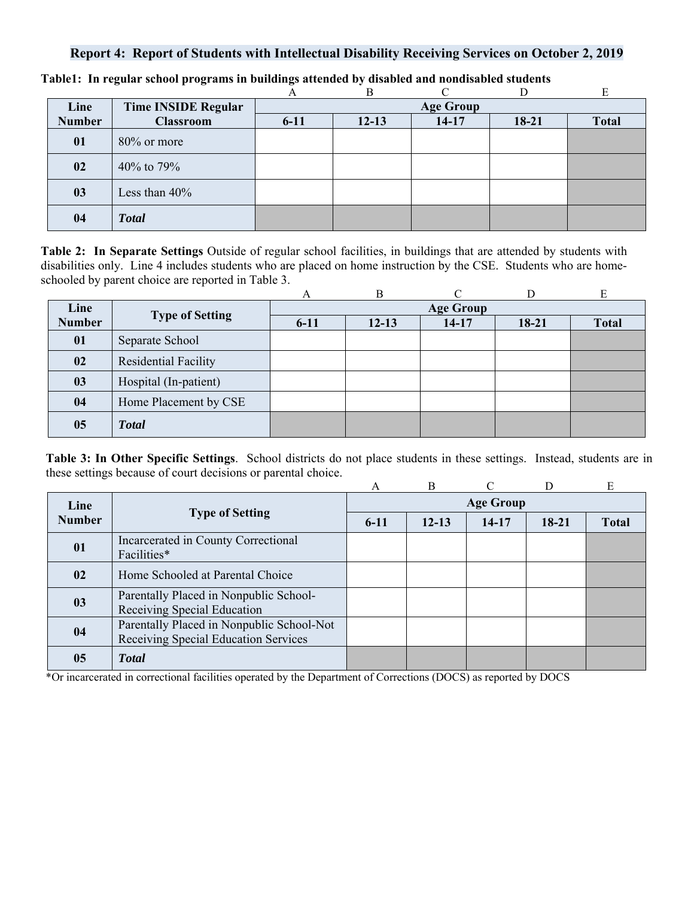## **Report 4: Report of Students with Intellectual Disability Receiving Services on October 2, 2019**

|               |                            | A        | B                |         |         | E            |  |  |
|---------------|----------------------------|----------|------------------|---------|---------|--------------|--|--|
| Line          | <b>Time INSIDE Regular</b> |          | <b>Age Group</b> |         |         |              |  |  |
| <b>Number</b> | <b>Classroom</b>           | $6 - 11$ | $12 - 13$        | $14-17$ | $18-21$ | <b>Total</b> |  |  |
| 01            | $80\%$ or more             |          |                  |         |         |              |  |  |
| 02            | 40% to 79%                 |          |                  |         |         |              |  |  |
| 03            | Less than $40\%$           |          |                  |         |         |              |  |  |
| 04            | <b>Total</b>               |          |                  |         |         |              |  |  |

**Table1: In regular school programs in buildings attended by disabled and nondisabled students** 

**Table 2: In Separate Settings** Outside of regular school facilities, in buildings that are attended by students with disabilities only. Line 4 includes students who are placed on home instruction by the CSE. Students who are homeschooled by parent choice are reported in Table 3.

|               |                        | А                | B         |         |           | E            |  |  |
|---------------|------------------------|------------------|-----------|---------|-----------|--------------|--|--|
| Line          |                        | <b>Age Group</b> |           |         |           |              |  |  |
| <b>Number</b> | <b>Type of Setting</b> | $6 - 11$         | $12 - 13$ | $14-17$ | $18 - 21$ | <b>Total</b> |  |  |
| 01            | Separate School        |                  |           |         |           |              |  |  |
| 02            | Residential Facility   |                  |           |         |           |              |  |  |
| 03            | Hospital (In-patient)  |                  |           |         |           |              |  |  |
| 04            | Home Placement by CSE  |                  |           |         |           |              |  |  |
| 05            | <b>Total</b>           |                  |           |         |           |              |  |  |

**Table 3: In Other Specific Settings**. School districts do not place students in these settings. Instead, students are in these settings because of court decisions or parental choice.

|               |                                                                                   | A                | B         |       |         | E            |  |  |
|---------------|-----------------------------------------------------------------------------------|------------------|-----------|-------|---------|--------------|--|--|
| Line          | <b>Type of Setting</b>                                                            | <b>Age Group</b> |           |       |         |              |  |  |
| <b>Number</b> |                                                                                   | $6-11$           | $12 - 13$ | 14-17 | $18-21$ | <b>Total</b> |  |  |
| 01            | Incarcerated in County Correctional<br>Facilities*                                |                  |           |       |         |              |  |  |
| 02            | Home Schooled at Parental Choice                                                  |                  |           |       |         |              |  |  |
| 03            | Parentally Placed in Nonpublic School-<br>Receiving Special Education             |                  |           |       |         |              |  |  |
| 04            | Parentally Placed in Nonpublic School-Not<br>Receiving Special Education Services |                  |           |       |         |              |  |  |
| 05            | <b>T</b> otal                                                                     |                  |           |       |         |              |  |  |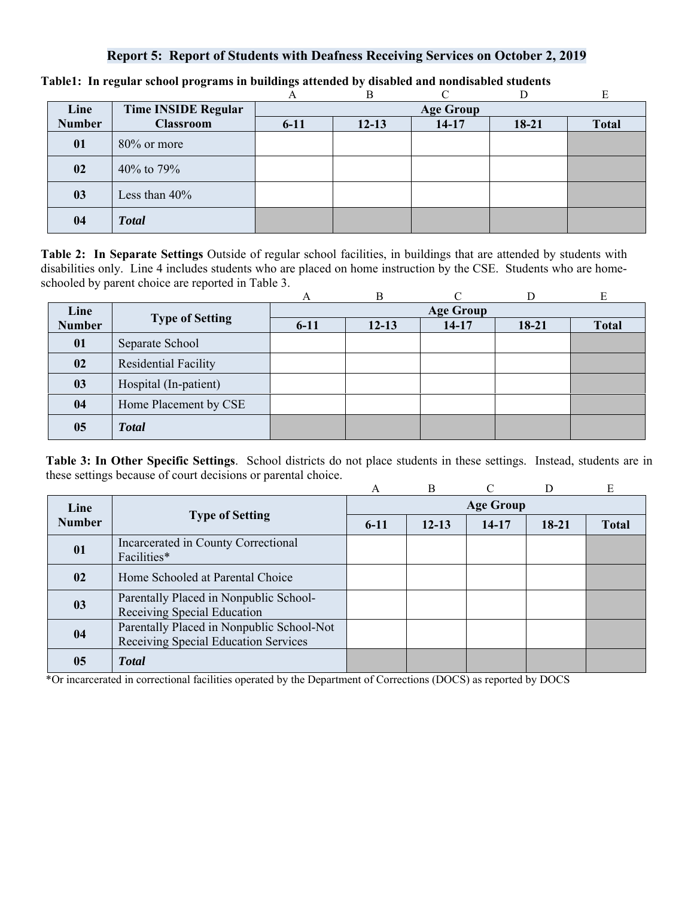### **Report 5: Report of Students with Deafness Receiving Services on October 2, 2019**

|               |                            | А                | B         |         |         |              |  |  |  |
|---------------|----------------------------|------------------|-----------|---------|---------|--------------|--|--|--|
| Line          | <b>Time INSIDE Regular</b> | <b>Age Group</b> |           |         |         |              |  |  |  |
| <b>Number</b> | <b>Classroom</b>           | $6 - 11$         | $12 - 13$ | $14-17$ | $18-21$ | <b>Total</b> |  |  |  |
| 01            | $80\%$ or more             |                  |           |         |         |              |  |  |  |
| 02            | 40% to 79%                 |                  |           |         |         |              |  |  |  |
| 03            | Less than $40\%$           |                  |           |         |         |              |  |  |  |
| 04            | <b>Total</b>               |                  |           |         |         |              |  |  |  |

#### **Table1: In regular school programs in buildings attended by disabled and nondisabled students**

**Table 2: In Separate Settings** Outside of regular school facilities, in buildings that are attended by students with disabilities only. Line 4 includes students who are placed on home instruction by the CSE. Students who are homeschooled by parent choice are reported in Table 3.

|               |                        | А                | В         | ⌒         |         | E            |  |  |  |
|---------------|------------------------|------------------|-----------|-----------|---------|--------------|--|--|--|
| Line          |                        | <b>Age Group</b> |           |           |         |              |  |  |  |
| <b>Number</b> | <b>Type of Setting</b> | $6 - 11$         | $12 - 13$ | $14 - 17$ | $18-21$ | <b>Total</b> |  |  |  |
| 01            | Separate School        |                  |           |           |         |              |  |  |  |
| 02            | Residential Facility   |                  |           |           |         |              |  |  |  |
| 03            | Hospital (In-patient)  |                  |           |           |         |              |  |  |  |
| 04            | Home Placement by CSE  |                  |           |           |         |              |  |  |  |
| 05            | <b>Total</b>           |                  |           |           |         |              |  |  |  |

**Table 3: In Other Specific Settings**. School districts do not place students in these settings. Instead, students are in these settings because of court decisions or parental choice.

|               |                                                                                   | A                | B         |           | D       | E            |  |  |
|---------------|-----------------------------------------------------------------------------------|------------------|-----------|-----------|---------|--------------|--|--|
| Line          | <b>Type of Setting</b>                                                            | <b>Age Group</b> |           |           |         |              |  |  |
| <b>Number</b> |                                                                                   | $6-11$           | $12 - 13$ | $14 - 17$ | $18-21$ | <b>Total</b> |  |  |
| 01            | Incarcerated in County Correctional<br>Facilities*                                |                  |           |           |         |              |  |  |
| 02            | Home Schooled at Parental Choice                                                  |                  |           |           |         |              |  |  |
| 03            | Parentally Placed in Nonpublic School-<br>Receiving Special Education             |                  |           |           |         |              |  |  |
| 04            | Parentally Placed in Nonpublic School-Not<br>Receiving Special Education Services |                  |           |           |         |              |  |  |
| 05            | <b>T</b> otal                                                                     |                  |           |           |         |              |  |  |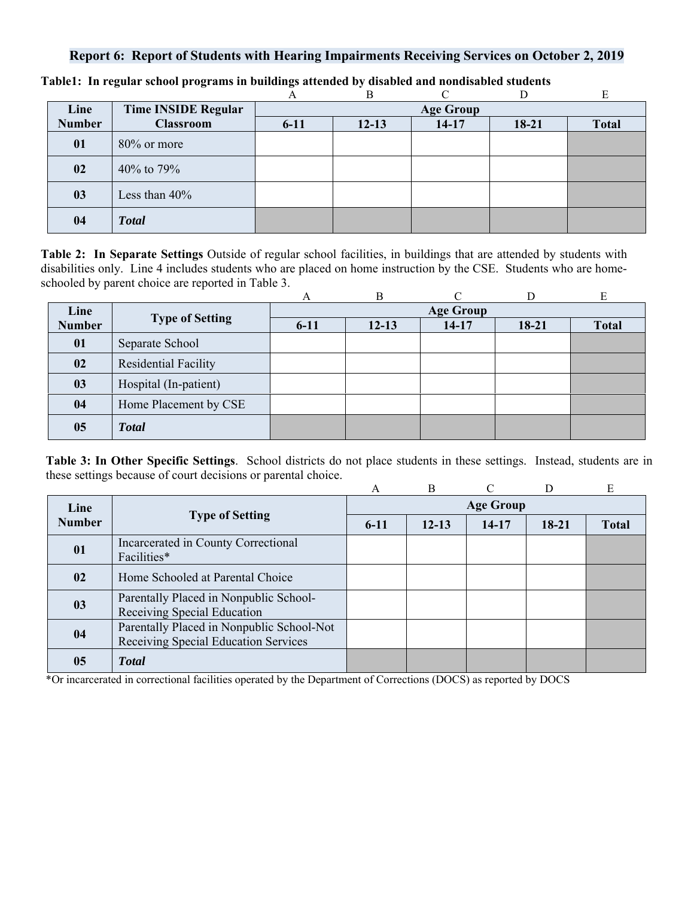# **Report 6: Report of Students with Hearing Impairments Receiving Services on October 2, 2019**

|               |                            |                  | B         |         |         |              |  |  |
|---------------|----------------------------|------------------|-----------|---------|---------|--------------|--|--|
| Line          | <b>Time INSIDE Regular</b> | <b>Age Group</b> |           |         |         |              |  |  |
| <b>Number</b> | <b>Classroom</b>           | $6 - 11$         | $12 - 13$ | $14-17$ | $18-21$ | <b>Total</b> |  |  |
| 01            | $80\%$ or more             |                  |           |         |         |              |  |  |
| 02            | 40% to 79%                 |                  |           |         |         |              |  |  |
| 03            | Less than $40\%$           |                  |           |         |         |              |  |  |
| 04            | <b>Total</b>               |                  |           |         |         |              |  |  |

**Table1: In regular school programs in buildings attended by disabled and nondisabled students** 

**Table 2: In Separate Settings** Outside of regular school facilities, in buildings that are attended by students with disabilities only. Line 4 includes students who are placed on home instruction by the CSE. Students who are homeschooled by parent choice are reported in Table 3.

|               |                        | А                | B         |           |           | E            |  |  |
|---------------|------------------------|------------------|-----------|-----------|-----------|--------------|--|--|
| Line          |                        | <b>Age Group</b> |           |           |           |              |  |  |
| <b>Number</b> | <b>Type of Setting</b> | $6 - 11$         | $12 - 13$ | $14 - 17$ | $18 - 21$ | <b>Total</b> |  |  |
| 01            | Separate School        |                  |           |           |           |              |  |  |
| 02            | Residential Facility   |                  |           |           |           |              |  |  |
| 03            | Hospital (In-patient)  |                  |           |           |           |              |  |  |
| 04            | Home Placement by CSE  |                  |           |           |           |              |  |  |
| 05            | <b>Total</b>           |                  |           |           |           |              |  |  |

**Table 3: In Other Specific Settings**. School districts do not place students in these settings. Instead, students are in these settings because of court decisions or parental choice.

|               |                                                                                   | A                | <sub>B</sub> | $\mathcal{C}$ | D       | E            |  |  |
|---------------|-----------------------------------------------------------------------------------|------------------|--------------|---------------|---------|--------------|--|--|
| Line          | <b>Type of Setting</b>                                                            | <b>Age Group</b> |              |               |         |              |  |  |
| <b>Number</b> |                                                                                   | $6 - 11$         | $12 - 13$    | 14-17         | $18-21$ | <b>Total</b> |  |  |
| 01            | Incarcerated in County Correctional<br>Facilities*                                |                  |              |               |         |              |  |  |
| 02            | Home Schooled at Parental Choice                                                  |                  |              |               |         |              |  |  |
| 03            | Parentally Placed in Nonpublic School-<br>Receiving Special Education             |                  |              |               |         |              |  |  |
| 04            | Parentally Placed in Nonpublic School-Not<br>Receiving Special Education Services |                  |              |               |         |              |  |  |
| 05            | <b>T</b> otal                                                                     |                  |              |               |         |              |  |  |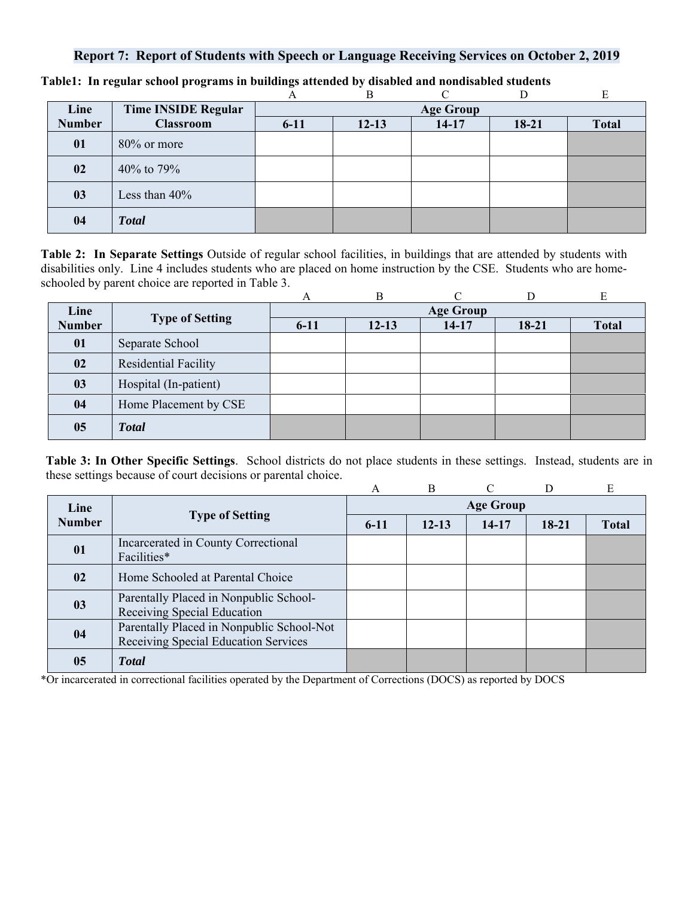# **Report 7: Report of Students with Speech or Language Receiving Services on October 2, 2019**

|               |                            | А                | В         |           |         |              |  |  |
|---------------|----------------------------|------------------|-----------|-----------|---------|--------------|--|--|
| Line          | <b>Time INSIDE Regular</b> | <b>Age Group</b> |           |           |         |              |  |  |
| <b>Number</b> | <b>Classroom</b>           | $6 - 11$         | $12 - 13$ | $14 - 17$ | $18-21$ | <b>Total</b> |  |  |
| 01            | $80\%$ or more             |                  |           |           |         |              |  |  |
| 02            | 40% to 79%                 |                  |           |           |         |              |  |  |
| 03            | Less than $40\%$           |                  |           |           |         |              |  |  |
| 04            | <b>Total</b>               |                  |           |           |         |              |  |  |

**Table1: In regular school programs in buildings attended by disabled and nondisabled students** 

**Table 2: In Separate Settings** Outside of regular school facilities, in buildings that are attended by students with disabilities only. Line 4 includes students who are placed on home instruction by the CSE. Students who are homeschooled by parent choice are reported in Table 3.

|               |                        | А                | B         |         |           | E            |  |  |  |
|---------------|------------------------|------------------|-----------|---------|-----------|--------------|--|--|--|
| Line          |                        | <b>Age Group</b> |           |         |           |              |  |  |  |
| <b>Number</b> | <b>Type of Setting</b> | $6 - 11$         | $12 - 13$ | $14-17$ | $18 - 21$ | <b>Total</b> |  |  |  |
| 01            | Separate School        |                  |           |         |           |              |  |  |  |
| 02            | Residential Facility   |                  |           |         |           |              |  |  |  |
| 03            | Hospital (In-patient)  |                  |           |         |           |              |  |  |  |
| 04            | Home Placement by CSE  |                  |           |         |           |              |  |  |  |
| 05            | <b>Total</b>           |                  |           |         |           |              |  |  |  |

**Table 3: In Other Specific Settings**. School districts do not place students in these settings. Instead, students are in these settings because of court decisions or parental choice.

|               |                                                                                   | A                | B         | $\mathcal{C}$ | D     | Ε            |  |  |
|---------------|-----------------------------------------------------------------------------------|------------------|-----------|---------------|-------|--------------|--|--|
| Line          | <b>Type of Setting</b>                                                            | <b>Age Group</b> |           |               |       |              |  |  |
| <b>Number</b> |                                                                                   | $6-11$           | $12 - 13$ | $14-17$       | 18-21 | <b>Total</b> |  |  |
| 01            | Incarcerated in County Correctional<br>Facilities*                                |                  |           |               |       |              |  |  |
| 02            | Home Schooled at Parental Choice                                                  |                  |           |               |       |              |  |  |
| 03            | Parentally Placed in Nonpublic School-<br>Receiving Special Education             |                  |           |               |       |              |  |  |
| 04            | Parentally Placed in Nonpublic School-Not<br>Receiving Special Education Services |                  |           |               |       |              |  |  |
| 05            | <b>T</b> otal                                                                     |                  |           |               |       |              |  |  |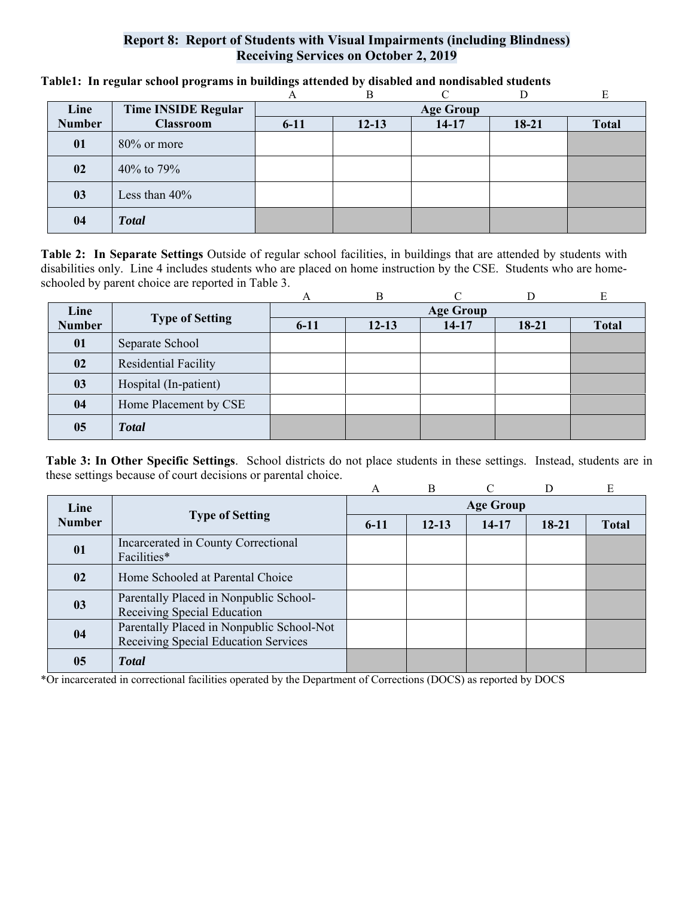## **Report 8: Report of Students with Visual Impairments (including Blindness) Receiving Services on October 2, 2019**

|               |                            |                  | R         |           |         | E            |  |  |
|---------------|----------------------------|------------------|-----------|-----------|---------|--------------|--|--|
| Line          | <b>Time INSIDE Regular</b> | <b>Age Group</b> |           |           |         |              |  |  |
| <b>Number</b> | <b>Classroom</b>           | $6 - 11$         | $12 - 13$ | $14 - 17$ | $18-21$ | <b>Total</b> |  |  |
| 01            | 80% or more                |                  |           |           |         |              |  |  |
| 02            | 40\% to 79\%               |                  |           |           |         |              |  |  |
| 03            | Less than $40\%$           |                  |           |           |         |              |  |  |
| 04            | <b>Total</b>               |                  |           |           |         |              |  |  |

**Table1: In regular school programs in buildings attended by disabled and nondisabled students** 

**Table 2: In Separate Settings** Outside of regular school facilities, in buildings that are attended by students with disabilities only. Line 4 includes students who are placed on home instruction by the CSE. Students who are homeschooled by parent choice are reported in Table 3.

|               |                        | А        | B         | ⌒                |           | E            |
|---------------|------------------------|----------|-----------|------------------|-----------|--------------|
| Line          |                        |          |           | <b>Age Group</b> |           |              |
| <b>Number</b> | <b>Type of Setting</b> | $6 - 11$ | $12 - 13$ | $14-17$          | $18 - 21$ | <b>Total</b> |
| 01            | Separate School        |          |           |                  |           |              |
| 02            | Residential Facility   |          |           |                  |           |              |
| 03            | Hospital (In-patient)  |          |           |                  |           |              |
| 04            | Home Placement by CSE  |          |           |                  |           |              |
| 05            | <b>Total</b>           |          |           |                  |           |              |

**Table 3: In Other Specific Settings**. School districts do not place students in these settings. Instead, students are in these settings because of court decisions or parental choice.

|                |                                                                                   | A                | B         | $\subset$ | D         | E            |  |  |
|----------------|-----------------------------------------------------------------------------------|------------------|-----------|-----------|-----------|--------------|--|--|
| Line           | <b>Type of Setting</b>                                                            | <b>Age Group</b> |           |           |           |              |  |  |
| <b>Number</b>  |                                                                                   | $6 - 11$         | $12 - 13$ | 14-17     | $18 - 21$ | <b>Total</b> |  |  |
| 01             | Incarcerated in County Correctional<br>Facilities*                                |                  |           |           |           |              |  |  |
| 02             | Home Schooled at Parental Choice                                                  |                  |           |           |           |              |  |  |
| 0 <sub>3</sub> | Parentally Placed in Nonpublic School-<br>Receiving Special Education             |                  |           |           |           |              |  |  |
| 04             | Parentally Placed in Nonpublic School-Not<br>Receiving Special Education Services |                  |           |           |           |              |  |  |
| 05             | <b>T</b> otal                                                                     |                  |           |           |           |              |  |  |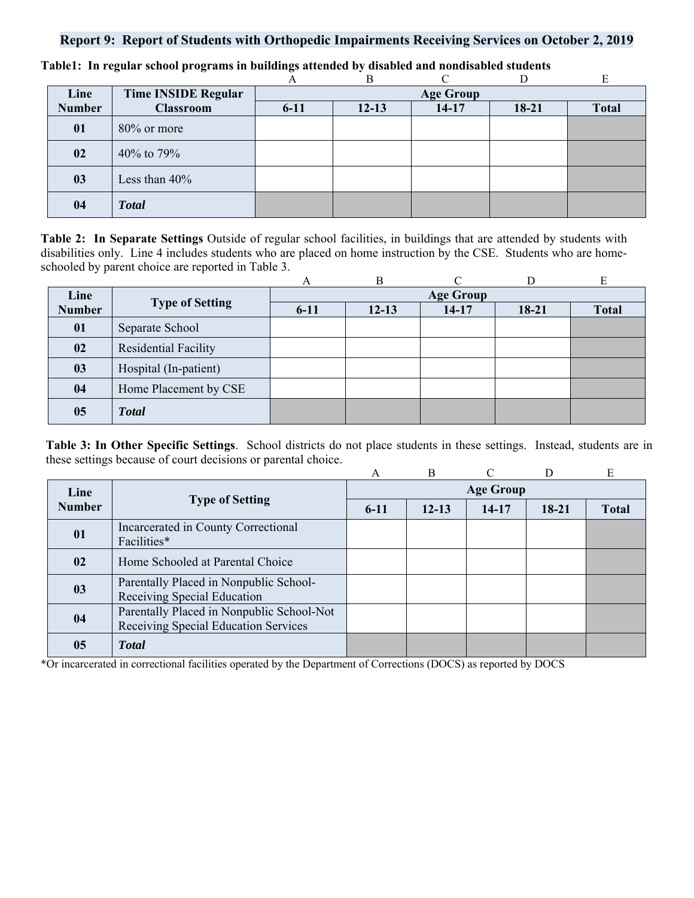## **Report 9: Report of Students with Orthopedic Impairments Receiving Services on October 2, 2019**

|               |                            |                  | B         |         |         | E            |  |  |
|---------------|----------------------------|------------------|-----------|---------|---------|--------------|--|--|
| Line          | <b>Time INSIDE Regular</b> | <b>Age Group</b> |           |         |         |              |  |  |
| <b>Number</b> | <b>Classroom</b>           | $6 - 11$         | $12 - 13$ | $14-17$ | $18-21$ | <b>Total</b> |  |  |
| 01            | $80\%$ or more             |                  |           |         |         |              |  |  |
| 02            | 40% to 79%                 |                  |           |         |         |              |  |  |
| 03            | Less than $40\%$           |                  |           |         |         |              |  |  |
| 04            | <b>Total</b>               |                  |           |         |         |              |  |  |

**Table1: In regular school programs in buildings attended by disabled and nondisabled students** 

**Table 2: In Separate Settings** Outside of regular school facilities, in buildings that are attended by students with disabilities only. Line 4 includes students who are placed on home instruction by the CSE. Students who are homeschooled by parent choice are reported in Table 3.

|               |                             | A                | B         | ⌒       |         | E            |  |  |
|---------------|-----------------------------|------------------|-----------|---------|---------|--------------|--|--|
| Line          | <b>Type of Setting</b>      | <b>Age Group</b> |           |         |         |              |  |  |
| <b>Number</b> |                             | $6-11$           | $12 - 13$ | $14-17$ | $18-21$ | <b>Total</b> |  |  |
| 01            | Separate School             |                  |           |         |         |              |  |  |
| 02            | <b>Residential Facility</b> |                  |           |         |         |              |  |  |
| 03            | Hospital (In-patient)       |                  |           |         |         |              |  |  |
| 04            | Home Placement by CSE       |                  |           |         |         |              |  |  |
| 05            | <b>Total</b>                |                  |           |         |         |              |  |  |

**Table 3: In Other Specific Settings**. School districts do not place students in these settings. Instead, students are in these settings because of court decisions or parental choice.

|               |                                                                                   | A                | $\overline{B}$ | $\Gamma$ | D         | E            |  |  |
|---------------|-----------------------------------------------------------------------------------|------------------|----------------|----------|-----------|--------------|--|--|
| Line          | <b>Type of Setting</b>                                                            | <b>Age Group</b> |                |          |           |              |  |  |
| <b>Number</b> |                                                                                   | $6-11$           | $12 - 13$      | 14-17    | $18 - 21$ | <b>Total</b> |  |  |
| 01            | Incarcerated in County Correctional<br>Facilities*                                |                  |                |          |           |              |  |  |
| 02            | Home Schooled at Parental Choice                                                  |                  |                |          |           |              |  |  |
| 03            | Parentally Placed in Nonpublic School-<br>Receiving Special Education             |                  |                |          |           |              |  |  |
| 04            | Parentally Placed in Nonpublic School-Not<br>Receiving Special Education Services |                  |                |          |           |              |  |  |
| 05            | <b>T</b> otal                                                                     |                  |                |          |           |              |  |  |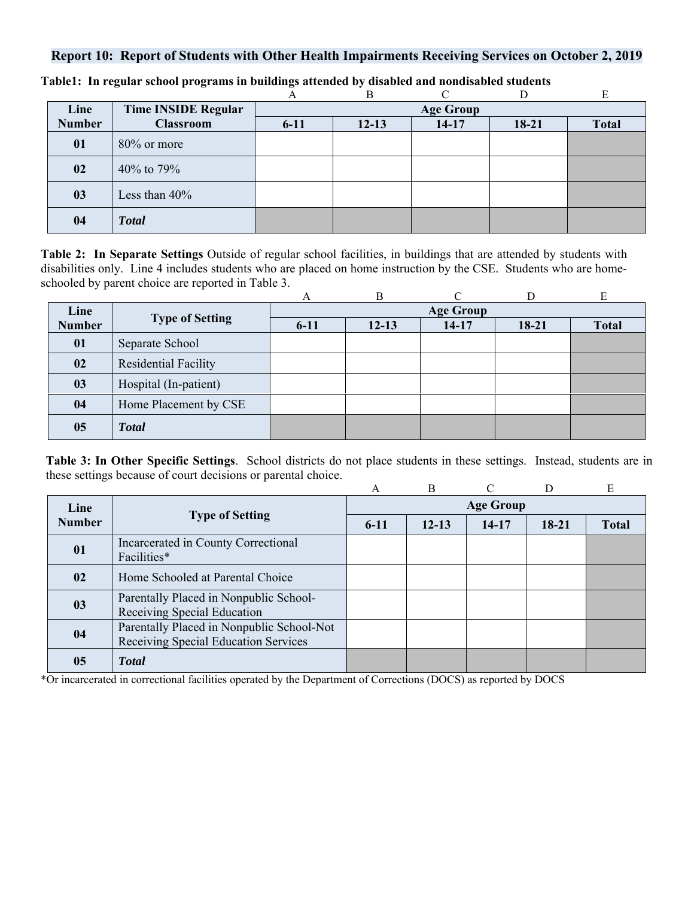# **Report 10: Report of Students with Other Health Impairments Receiving Services on October 2, 2019**

|               |                            |                  | B         |         |         |              |  |  |
|---------------|----------------------------|------------------|-----------|---------|---------|--------------|--|--|
| Line          | <b>Time INSIDE Regular</b> | <b>Age Group</b> |           |         |         |              |  |  |
| <b>Number</b> | <b>Classroom</b>           | $6 - 11$         | $12 - 13$ | $14-17$ | $18-21$ | <b>Total</b> |  |  |
| 01            | $80\%$ or more             |                  |           |         |         |              |  |  |
| 02            | 40% to 79%                 |                  |           |         |         |              |  |  |
| 03            | Less than $40\%$           |                  |           |         |         |              |  |  |
| 04            | <b>Total</b>               |                  |           |         |         |              |  |  |

**Table1: In regular school programs in buildings attended by disabled and nondisabled students** 

**Table 2: In Separate Settings** Outside of regular school facilities, in buildings that are attended by students with disabilities only. Line 4 includes students who are placed on home instruction by the CSE. Students who are homeschooled by parent choice are reported in Table 3.

|               |                        | А        | B         |                  |         | E            |
|---------------|------------------------|----------|-----------|------------------|---------|--------------|
| Line          |                        |          |           | <b>Age Group</b> |         |              |
| <b>Number</b> | <b>Type of Setting</b> | $6 - 11$ | $12 - 13$ | $14 - 17$        | $18-21$ | <b>Total</b> |
| 01            | Separate School        |          |           |                  |         |              |
| 02            | Residential Facility   |          |           |                  |         |              |
| 03            | Hospital (In-patient)  |          |           |                  |         |              |
| 04            | Home Placement by CSE  |          |           |                  |         |              |
| 05            | <b>Total</b>           |          |           |                  |         |              |

**Table 3: In Other Specific Settings**. School districts do not place students in these settings. Instead, students are in these settings because of court decisions or parental choice.

|               |                                                                                   | A                | B         |       |           | E            |  |  |
|---------------|-----------------------------------------------------------------------------------|------------------|-----------|-------|-----------|--------------|--|--|
| Line          | <b>Type of Setting</b>                                                            | <b>Age Group</b> |           |       |           |              |  |  |
| <b>Number</b> |                                                                                   | $6 - 11$         | $12 - 13$ | 14-17 | $18 - 21$ | <b>Total</b> |  |  |
| 01            | Incarcerated in County Correctional<br>Facilities*                                |                  |           |       |           |              |  |  |
| 02            | Home Schooled at Parental Choice                                                  |                  |           |       |           |              |  |  |
| 03            | Parentally Placed in Nonpublic School-<br>Receiving Special Education             |                  |           |       |           |              |  |  |
| 04            | Parentally Placed in Nonpublic School-Not<br>Receiving Special Education Services |                  |           |       |           |              |  |  |
| 05            | <b>T</b> otal                                                                     |                  |           |       |           |              |  |  |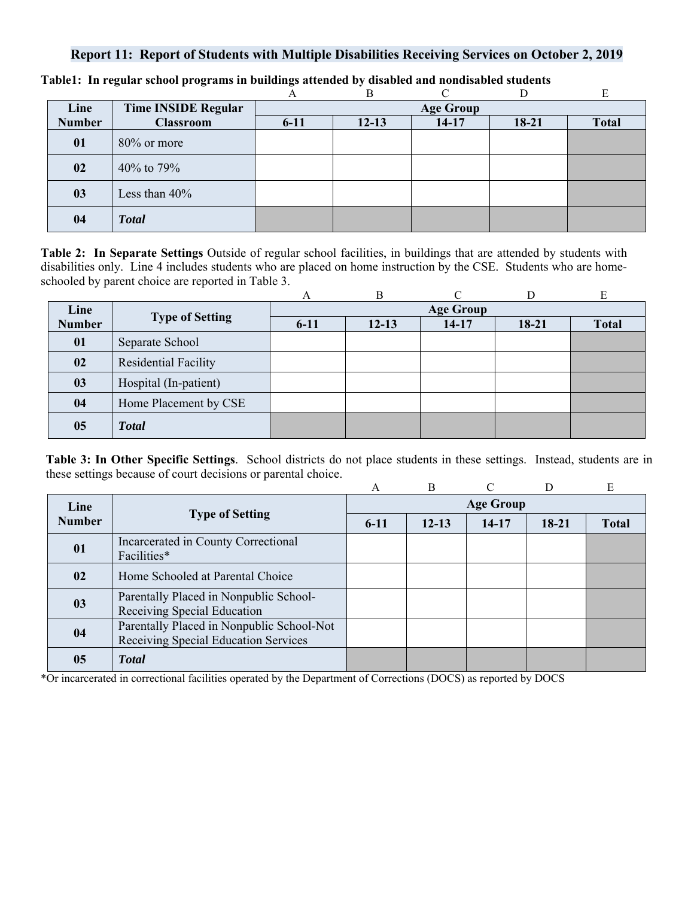## **Report 11: Report of Students with Multiple Disabilities Receiving Services on October 2, 2019**

|               |                            | $\mathbf{A}$ | В                |           |         |              |  |  |  |
|---------------|----------------------------|--------------|------------------|-----------|---------|--------------|--|--|--|
| Line          | <b>Time INSIDE Regular</b> |              | <b>Age Group</b> |           |         |              |  |  |  |
| <b>Number</b> | <b>Classroom</b>           | $6 - 11$     | $12 - 13$        | $14 - 17$ | $18-21$ | <b>Total</b> |  |  |  |
| 01            | $80\%$ or more             |              |                  |           |         |              |  |  |  |
| 02            | 40% to 79%                 |              |                  |           |         |              |  |  |  |
| 03            | Less than 40%              |              |                  |           |         |              |  |  |  |
| 04            | <b>Total</b>               |              |                  |           |         |              |  |  |  |

**Table1: In regular school programs in buildings attended by disabled and nondisabled students** 

**Table 2: In Separate Settings** Outside of regular school facilities, in buildings that are attended by students with disabilities only. Line 4 includes students who are placed on home instruction by the CSE. Students who are homeschooled by parent choice are reported in Table 3.

|               |                        | А                | B         |         |           | E            |  |  |
|---------------|------------------------|------------------|-----------|---------|-----------|--------------|--|--|
| Line          |                        | <b>Age Group</b> |           |         |           |              |  |  |
| <b>Number</b> | <b>Type of Setting</b> | $6 - 11$         | $12 - 13$ | $14-17$ | $18 - 21$ | <b>Total</b> |  |  |
| 01            | Separate School        |                  |           |         |           |              |  |  |
| 02            | Residential Facility   |                  |           |         |           |              |  |  |
| 03            | Hospital (In-patient)  |                  |           |         |           |              |  |  |
| 04            | Home Placement by CSE  |                  |           |         |           |              |  |  |
| 05            | <b>Total</b>           |                  |           |         |           |              |  |  |

**Table 3: In Other Specific Settings**. School districts do not place students in these settings. Instead, students are in these settings because of court decisions or parental choice.

|               |                                                                                   | A                | $\overline{B}$ | $\cap$ | D       | E            |  |  |
|---------------|-----------------------------------------------------------------------------------|------------------|----------------|--------|---------|--------------|--|--|
| Line          | <b>Type of Setting</b>                                                            | <b>Age Group</b> |                |        |         |              |  |  |
| <b>Number</b> |                                                                                   | $6 - 11$         | $12 - 13$      | 14-17  | $18-21$ | <b>Total</b> |  |  |
| 01            | Incarcerated in County Correctional<br>Facilities*                                |                  |                |        |         |              |  |  |
| 02            | Home Schooled at Parental Choice                                                  |                  |                |        |         |              |  |  |
| 03            | Parentally Placed in Nonpublic School-<br>Receiving Special Education             |                  |                |        |         |              |  |  |
| 04            | Parentally Placed in Nonpublic School-Not<br>Receiving Special Education Services |                  |                |        |         |              |  |  |
| 05            | <b>Total</b>                                                                      |                  |                |        |         |              |  |  |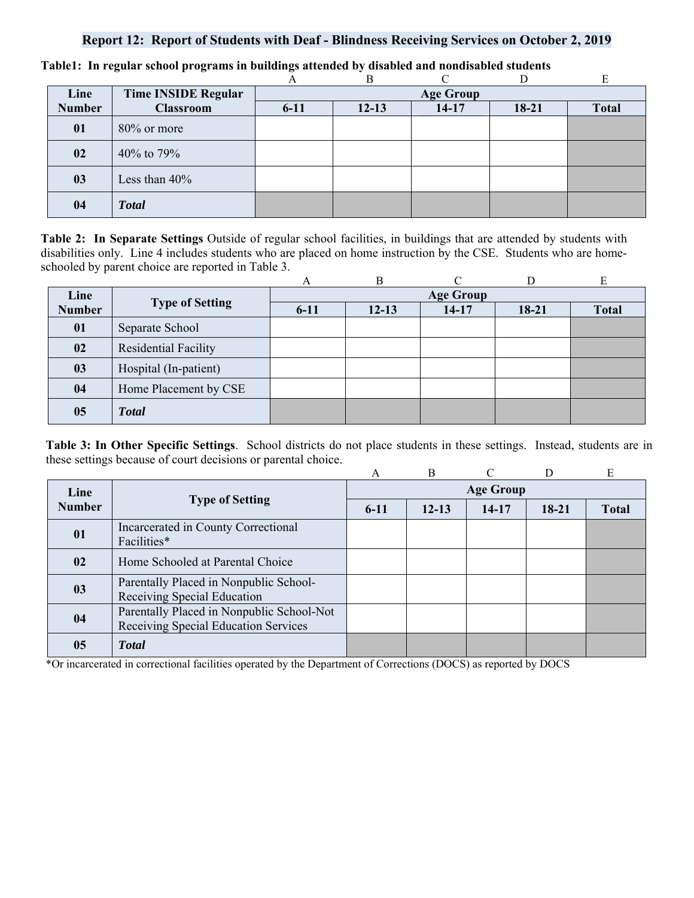## **Report 12: Report of Students with Deaf - Blindness Receiving Services on October 2, 2019**

|               |                            |                  | Β         |         |         |              |  |  |
|---------------|----------------------------|------------------|-----------|---------|---------|--------------|--|--|
| Line          | <b>Time INSIDE Regular</b> | <b>Age Group</b> |           |         |         |              |  |  |
| <b>Number</b> | <b>Classroom</b>           | $6 - 11$         | $12 - 13$ | $14-17$ | $18-21$ | <b>Total</b> |  |  |
| 01            | $80\%$ or more             |                  |           |         |         |              |  |  |
| 02            | 40\% to 79\%               |                  |           |         |         |              |  |  |
| 03            | Less than 40%              |                  |           |         |         |              |  |  |
| 04            | <b>Total</b>               |                  |           |         |         |              |  |  |

**Table1: In regular school programs in buildings attended by disabled and nondisabled students** 

**Table 2: In Separate Settings** Outside of regular school facilities, in buildings that are attended by students with disabilities only. Line 4 includes students who are placed on home instruction by the CSE. Students who are homeschooled by parent choice are reported in Table 3.

|               |                             | A                | B         |         |         | E            |  |  |
|---------------|-----------------------------|------------------|-----------|---------|---------|--------------|--|--|
| Line          | <b>Type of Setting</b>      | <b>Age Group</b> |           |         |         |              |  |  |
| <b>Number</b> |                             | $6 - 11$         | $12 - 13$ | $14-17$ | $18-21$ | <b>Total</b> |  |  |
| 01            | Separate School             |                  |           |         |         |              |  |  |
| 02            | <b>Residential Facility</b> |                  |           |         |         |              |  |  |
| 03            | Hospital (In-patient)       |                  |           |         |         |              |  |  |
| 04            | Home Placement by CSE       |                  |           |         |         |              |  |  |
| 05            | <b>Total</b>                |                  |           |         |         |              |  |  |

**Table 3: In Other Specific Settings**. School districts do not place students in these settings. Instead, students are in these settings because of court decisions or parental choice.

|               |                                                                                   | A                | B         |           |       | E            |  |  |
|---------------|-----------------------------------------------------------------------------------|------------------|-----------|-----------|-------|--------------|--|--|
| Line          | <b>Type of Setting</b>                                                            | <b>Age Group</b> |           |           |       |              |  |  |
| <b>Number</b> |                                                                                   | $6-11$           | $12 - 13$ | $14 - 17$ | 18-21 | <b>Total</b> |  |  |
| 01            | Incarcerated in County Correctional<br>Facilities*                                |                  |           |           |       |              |  |  |
| 02            | Home Schooled at Parental Choice                                                  |                  |           |           |       |              |  |  |
| 03            | Parentally Placed in Nonpublic School-<br>Receiving Special Education             |                  |           |           |       |              |  |  |
| 04            | Parentally Placed in Nonpublic School-Not<br>Receiving Special Education Services |                  |           |           |       |              |  |  |
| 05            | <b>T</b> otal                                                                     |                  |           |           |       |              |  |  |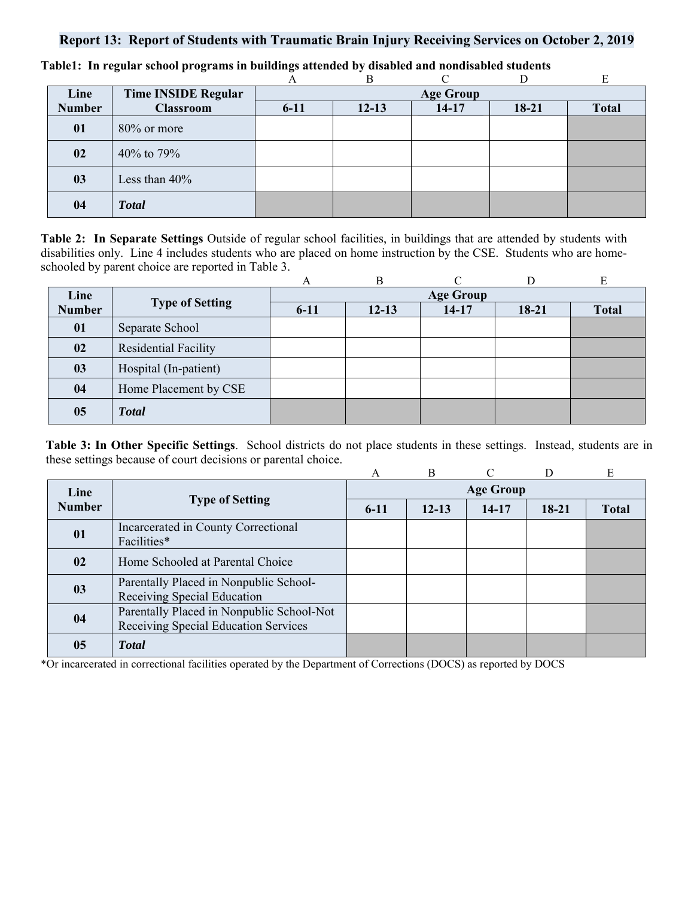## **Report 13: Report of Students with Traumatic Brain Injury Receiving Services on October 2, 2019**

|               |                            |          | B         |                  |       |              |
|---------------|----------------------------|----------|-----------|------------------|-------|--------------|
| Line          | <b>Time INSIDE Regular</b> |          |           | <b>Age Group</b> |       |              |
| <b>Number</b> | <b>Classroom</b>           | $6 - 11$ | $12 - 13$ | $14 - 17$        | 18-21 | <b>Total</b> |
| 01            | 80% or more                |          |           |                  |       |              |
| 02            | 40% to 79%                 |          |           |                  |       |              |
| 03            | Less than $40\%$           |          |           |                  |       |              |
| 04            | <b>Total</b>               |          |           |                  |       |              |

**Table1: In regular school programs in buildings attended by disabled and nondisabled students** 

**Table 2: In Separate Settings** Outside of regular school facilities, in buildings that are attended by students with disabilities only. Line 4 includes students who are placed on home instruction by the CSE. Students who are homeschooled by parent choice are reported in Table 3.

|               |                             | A      | B         | ⌒                |         | E            |
|---------------|-----------------------------|--------|-----------|------------------|---------|--------------|
| Line          | <b>Type of Setting</b>      |        |           | <b>Age Group</b> |         |              |
| <b>Number</b> |                             | $6-11$ | $12 - 13$ | $14-17$          | $18-21$ | <b>Total</b> |
| 01            | Separate School             |        |           |                  |         |              |
| 02            | <b>Residential Facility</b> |        |           |                  |         |              |
| 03            | Hospital (In-patient)       |        |           |                  |         |              |
| 04            | Home Placement by CSE       |        |           |                  |         |              |
| 05            | <b>Total</b>                |        |           |                  |         |              |

**Table 3: In Other Specific Settings**. School districts do not place students in these settings. Instead, students are in these settings because of court decisions or parental choice.

|               |                                                                                   | A      | $\overline{B}$ | $\Gamma$         | D         | E            |
|---------------|-----------------------------------------------------------------------------------|--------|----------------|------------------|-----------|--------------|
| Line          |                                                                                   |        |                | <b>Age Group</b> |           |              |
| <b>Number</b> | <b>Type of Setting</b>                                                            | $6-11$ | $12 - 13$      | 14-17            | $18 - 21$ | <b>Total</b> |
| 01            | Incarcerated in County Correctional<br>Facilities*                                |        |                |                  |           |              |
| 02            | Home Schooled at Parental Choice                                                  |        |                |                  |           |              |
| 03            | Parentally Placed in Nonpublic School-<br>Receiving Special Education             |        |                |                  |           |              |
| 04            | Parentally Placed in Nonpublic School-Not<br>Receiving Special Education Services |        |                |                  |           |              |
| 05            | <b>T</b> otal                                                                     |        |                |                  |           |              |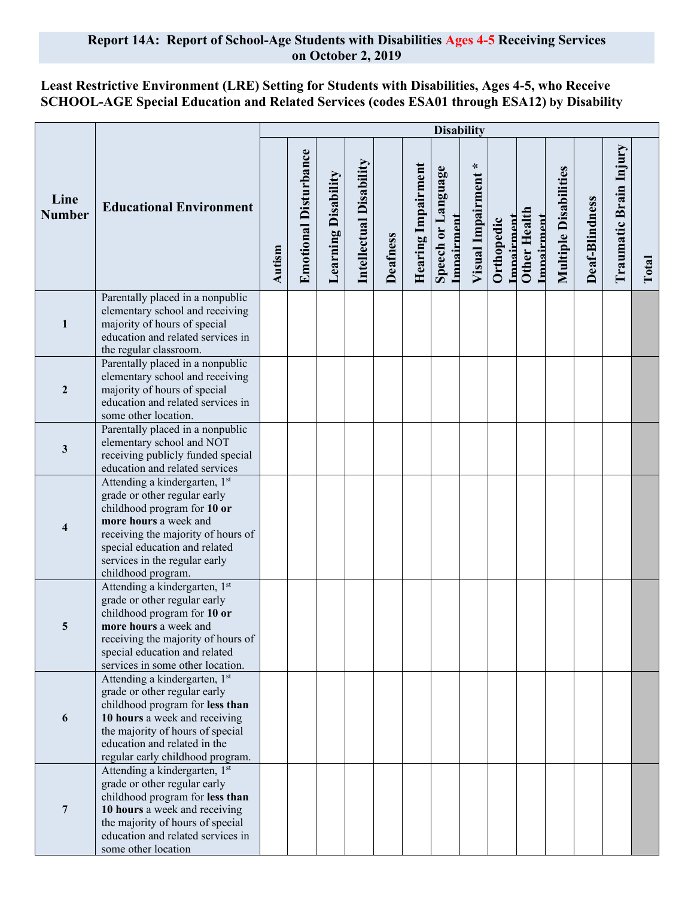### **Report 14A: Report of School-Age Students with Disabilities Ages 4-5 Receiving Services on October 2, 2019**

# **Least Restrictive Environment (LRE) Setting for Students with Disabilities, Ages 4-5, who Receive SCHOOL-AGE Special Education and Related Services (codes ESA01 through ESA12) by Disability**

|                       |                                                                                                                                                                                                                                                     | <b>Disability</b> |                              |                            |                         |                 |                    |                                  |                        |                          |                                   |                              |                |                        |       |
|-----------------------|-----------------------------------------------------------------------------------------------------------------------------------------------------------------------------------------------------------------------------------------------------|-------------------|------------------------------|----------------------------|-------------------------|-----------------|--------------------|----------------------------------|------------------------|--------------------------|-----------------------------------|------------------------------|----------------|------------------------|-------|
| Line<br><b>Number</b> | <b>Educational Environment</b>                                                                                                                                                                                                                      | Autism            | <b>Emotional Disturbance</b> | <b>Learning Disability</b> | Intellectual Disability | <b>Deafness</b> | Hearing Impairment | Speech or Language<br>Imnairment | ∗<br>Visual Impairment | Imnairment<br>Orthopedic | <b>Other Health</b><br>Imnairment | <b>Multiple Disabilities</b> | Deaf-Blindness | Traumatic Brain Injury | Total |
| $\mathbf{1}$          | Parentally placed in a nonpublic<br>elementary school and receiving<br>majority of hours of special<br>education and related services in<br>the regular classroom.                                                                                  |                   |                              |                            |                         |                 |                    |                                  |                        |                          |                                   |                              |                |                        |       |
| $\mathbf{2}$          | Parentally placed in a nonpublic<br>elementary school and receiving<br>majority of hours of special<br>education and related services in<br>some other location.                                                                                    |                   |                              |                            |                         |                 |                    |                                  |                        |                          |                                   |                              |                |                        |       |
| 3                     | Parentally placed in a nonpublic<br>elementary school and NOT<br>receiving publicly funded special<br>education and related services                                                                                                                |                   |                              |                            |                         |                 |                    |                                  |                        |                          |                                   |                              |                |                        |       |
| 4                     | Attending a kindergarten, 1st<br>grade or other regular early<br>childhood program for 10 or<br>more hours a week and<br>receiving the majority of hours of<br>special education and related<br>services in the regular early<br>childhood program. |                   |                              |                            |                         |                 |                    |                                  |                        |                          |                                   |                              |                |                        |       |
| 5                     | Attending a kindergarten, 1st<br>grade or other regular early<br>childhood program for 10 or<br>more hours a week and<br>receiving the majority of hours of<br>special education and related<br>services in some other location.                    |                   |                              |                            |                         |                 |                    |                                  |                        |                          |                                   |                              |                |                        |       |
| 6                     | Attending a kindergarten, 1st<br>grade or other regular early<br>childhood program for less than<br>10 hours a week and receiving<br>the majority of hours of special<br>education and related in the<br>regular early childhood program.           |                   |                              |                            |                         |                 |                    |                                  |                        |                          |                                   |                              |                |                        |       |
| $\overline{7}$        | Attending a kindergarten, 1st<br>grade or other regular early<br>childhood program for less than<br>10 hours a week and receiving<br>the majority of hours of special<br>education and related services in<br>some other location                   |                   |                              |                            |                         |                 |                    |                                  |                        |                          |                                   |                              |                |                        |       |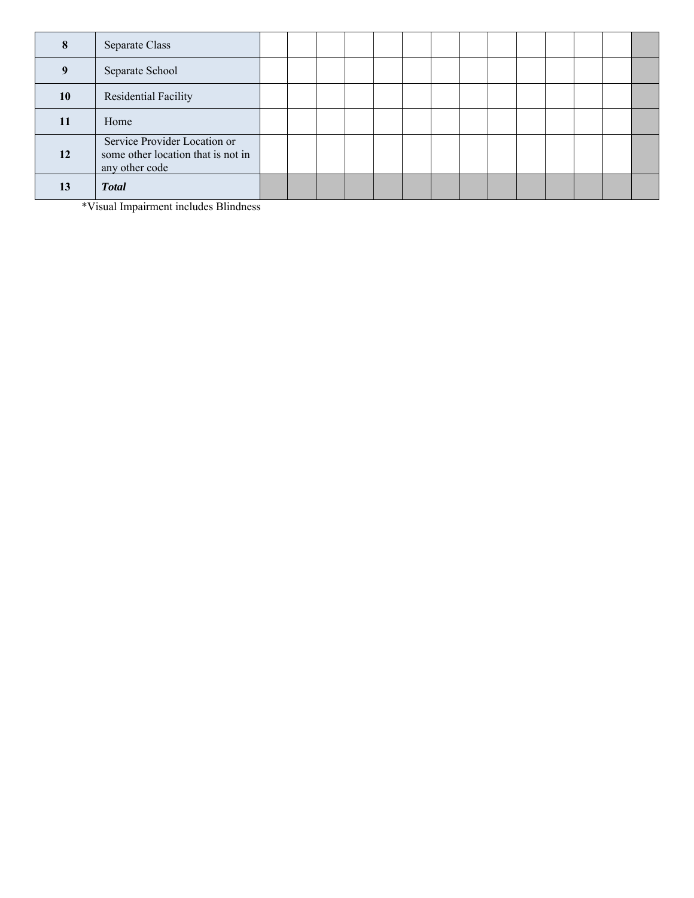|    | Separate Class                                                                       |  |  |  |  |  |  |  |
|----|--------------------------------------------------------------------------------------|--|--|--|--|--|--|--|
|    | Separate School                                                                      |  |  |  |  |  |  |  |
| 10 | Residential Facility                                                                 |  |  |  |  |  |  |  |
|    | Home                                                                                 |  |  |  |  |  |  |  |
| 12 | Service Provider Location or<br>some other location that is not in<br>any other code |  |  |  |  |  |  |  |
| 13 | <b>Total</b>                                                                         |  |  |  |  |  |  |  |

\*Visual Impairment includes Blindness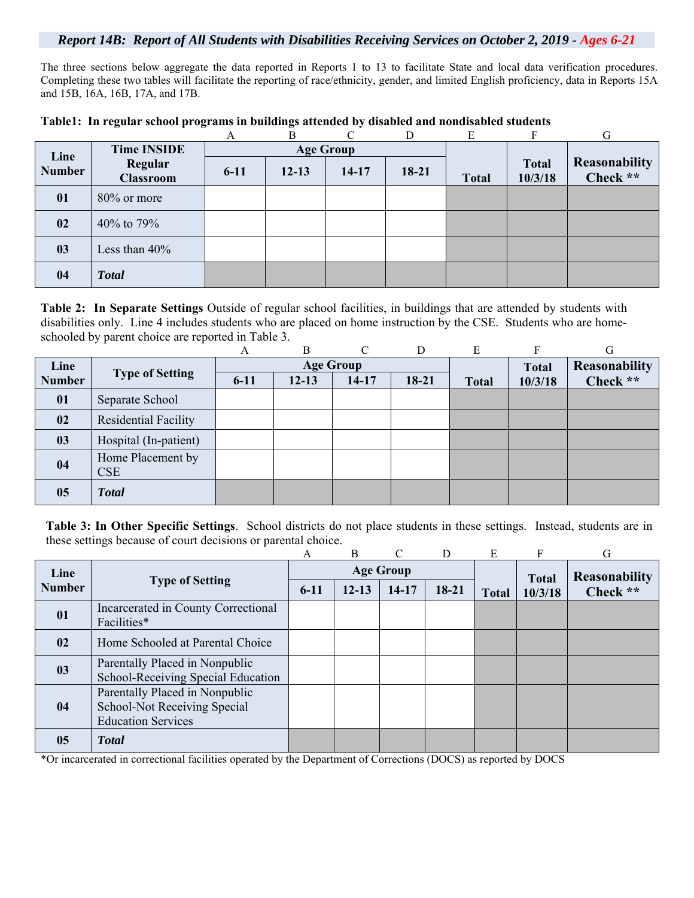### *Report 14B: Report of All Students with Disabilities Receiving Services on October 2, 2019 - Ages 6-21*

The three sections below aggregate the data reported in Reports 1 to 13 to facilitate State and local data verification procedures. Completing these two tables will facilitate the reporting of race/ethnicity, gender, and limited English proficiency, data in Reports 15A and 15B, 16A, 16B, 17A, and 17B.

|               |                             | A        | B         | $\mathcal{C}$    | D.      | E            |                         | G                         |
|---------------|-----------------------------|----------|-----------|------------------|---------|--------------|-------------------------|---------------------------|
| Line          | <b>Time INSIDE</b>          |          |           | <b>Age Group</b> |         |              |                         |                           |
| <b>Number</b> | Regular<br><b>Classroom</b> | $6 - 11$ | $12 - 13$ | $14-17$          | $18-21$ | <b>Total</b> | <b>Total</b><br>10/3/18 | Reasonability<br>Check ** |
| 01            | 80% or more                 |          |           |                  |         |              |                         |                           |
| 02            | 40% to 79%                  |          |           |                  |         |              |                         |                           |
| 03            | Less than $40\%$            |          |           |                  |         |              |                         |                           |
| 04            | <b>Total</b>                |          |           |                  |         |              |                         |                           |

### **Table1: In regular school programs in buildings attended by disabled and nondisabled students**

**Table 2: In Separate Settings** Outside of regular school facilities, in buildings that are attended by students with disabilities only. Line 4 includes students who are placed on home instruction by the CSE. Students who are homeschooled by parent choice are reported in Table 3.

|               |                                 | A        | B         | $\curvearrowright$ | D       | E            |              | G             |
|---------------|---------------------------------|----------|-----------|--------------------|---------|--------------|--------------|---------------|
| Line          |                                 |          |           | <b>Age Group</b>   |         |              | <b>Total</b> | Reasonability |
| <b>Number</b> | <b>Type of Setting</b>          | $6 - 11$ | $12 - 13$ | $14-17$            | $18-21$ | <b>Total</b> | 10/3/18      | Check **      |
| 01            | Separate School                 |          |           |                    |         |              |              |               |
| 02            | <b>Residential Facility</b>     |          |           |                    |         |              |              |               |
| 03            | Hospital (In-patient)           |          |           |                    |         |              |              |               |
| 04            | Home Placement by<br><b>CSE</b> |          |           |                    |         |              |              |               |
| 05            | <b>Total</b>                    |          |           |                    |         |              |              |               |

**Table 3: In Other Specific Settings**. School districts do not place students in these settings. Instead, students are in these settings because of court decisions or parental choice.

|               |                                                                                             | А      | B         | $\mathcal{C}$    | D       | E            | F            | G             |
|---------------|---------------------------------------------------------------------------------------------|--------|-----------|------------------|---------|--------------|--------------|---------------|
| Line          |                                                                                             |        |           | <b>Age Group</b> |         |              | <b>Total</b> | Reasonability |
| <b>Number</b> | <b>Type of Setting</b>                                                                      | $6-11$ | $12 - 13$ | $14-17$          | $18-21$ | <b>Total</b> | 10/3/18      | Check **      |
| 01            | Incarcerated in County Correctional<br>Facilities*                                          |        |           |                  |         |              |              |               |
| 02            | Home Schooled at Parental Choice                                                            |        |           |                  |         |              |              |               |
| 03            | Parentally Placed in Nonpublic<br>School-Receiving Special Education                        |        |           |                  |         |              |              |               |
| 04            | Parentally Placed in Nonpublic<br>School-Not Receiving Special<br><b>Education Services</b> |        |           |                  |         |              |              |               |
| 05            | <b>Total</b>                                                                                |        |           |                  |         |              |              |               |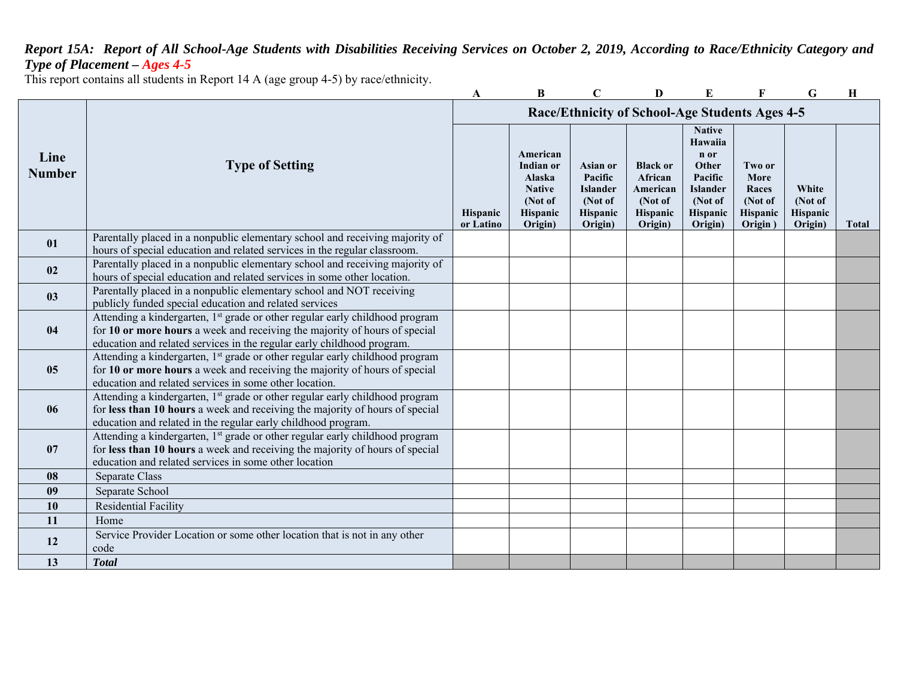# *Report 15A: Report of All School-Age Students with Disabilities Receiving Services on October 2, 2019, According to Race/Ethnicity Category and Type of Placement – Ages 4-5*

This report contains all students in Report 14 A (age group 4-5) by race/ethnicity.

|                       |                                                                                                                                                                                                                                                  | A                     | B                                                                                         | C                                                                               | D                                                                        | E                                                                                                         | F                                                         | G                                       | H            |
|-----------------------|--------------------------------------------------------------------------------------------------------------------------------------------------------------------------------------------------------------------------------------------------|-----------------------|-------------------------------------------------------------------------------------------|---------------------------------------------------------------------------------|--------------------------------------------------------------------------|-----------------------------------------------------------------------------------------------------------|-----------------------------------------------------------|-----------------------------------------|--------------|
|                       |                                                                                                                                                                                                                                                  |                       |                                                                                           |                                                                                 | Race/Ethnicity of School-Age Students Ages 4-5                           |                                                                                                           |                                                           |                                         |              |
| Line<br><b>Number</b> | <b>Type of Setting</b>                                                                                                                                                                                                                           | Hispanic<br>or Latino | American<br>Indian or<br><b>Alaska</b><br><b>Native</b><br>(Not of<br>Hispanic<br>Origin) | <b>Asian or</b><br>Pacific<br><b>Islander</b><br>(Not of<br>Hispanic<br>Origin) | <b>Black or</b><br>African<br>American<br>(Not of<br>Hispanic<br>Origin) | <b>Native</b><br>Hawaiia<br>n or<br>Other<br>Pacific<br><b>Islander</b><br>(Not of<br>Hispanic<br>Origin) | Two or<br>More<br>Races<br>(Not of<br>Hispanic<br>Origin) | White<br>(Not of<br>Hispanic<br>Origin) | <b>Total</b> |
| 01                    | Parentally placed in a nonpublic elementary school and receiving majority of<br>hours of special education and related services in the regular classroom.                                                                                        |                       |                                                                                           |                                                                                 |                                                                          |                                                                                                           |                                                           |                                         |              |
| 02                    | Parentally placed in a nonpublic elementary school and receiving majority of<br>hours of special education and related services in some other location.                                                                                          |                       |                                                                                           |                                                                                 |                                                                          |                                                                                                           |                                                           |                                         |              |
| 0 <sub>3</sub>        | Parentally placed in a nonpublic elementary school and NOT receiving<br>publicly funded special education and related services                                                                                                                   |                       |                                                                                           |                                                                                 |                                                                          |                                                                                                           |                                                           |                                         |              |
| 04                    | Attending a kindergarten, 1 <sup>st</sup> grade or other regular early childhood program<br>for 10 or more hours a week and receiving the majority of hours of special<br>education and related services in the regular early childhood program. |                       |                                                                                           |                                                                                 |                                                                          |                                                                                                           |                                                           |                                         |              |
| 05                    | Attending a kindergarten, 1 <sup>st</sup> grade or other regular early childhood program<br>for 10 or more hours a week and receiving the majority of hours of special<br>education and related services in some other location.                 |                       |                                                                                           |                                                                                 |                                                                          |                                                                                                           |                                                           |                                         |              |
| 06                    | Attending a kindergarten, 1 <sup>st</sup> grade or other regular early childhood program<br>for less than 10 hours a week and receiving the majority of hours of special<br>education and related in the regular early childhood program.        |                       |                                                                                           |                                                                                 |                                                                          |                                                                                                           |                                                           |                                         |              |
| 07                    | Attending a kindergarten, 1 <sup>st</sup> grade or other regular early childhood program<br>for less than 10 hours a week and receiving the majority of hours of special<br>education and related services in some other location                |                       |                                                                                           |                                                                                 |                                                                          |                                                                                                           |                                                           |                                         |              |
| 08                    | Separate Class                                                                                                                                                                                                                                   |                       |                                                                                           |                                                                                 |                                                                          |                                                                                                           |                                                           |                                         |              |
| 09                    | Separate School                                                                                                                                                                                                                                  |                       |                                                                                           |                                                                                 |                                                                          |                                                                                                           |                                                           |                                         |              |
| 10                    | <b>Residential Facility</b>                                                                                                                                                                                                                      |                       |                                                                                           |                                                                                 |                                                                          |                                                                                                           |                                                           |                                         |              |
| 11                    | Home                                                                                                                                                                                                                                             |                       |                                                                                           |                                                                                 |                                                                          |                                                                                                           |                                                           |                                         |              |
| 12                    | Service Provider Location or some other location that is not in any other<br>code                                                                                                                                                                |                       |                                                                                           |                                                                                 |                                                                          |                                                                                                           |                                                           |                                         |              |
| 13                    | <b>Total</b>                                                                                                                                                                                                                                     |                       |                                                                                           |                                                                                 |                                                                          |                                                                                                           |                                                           |                                         |              |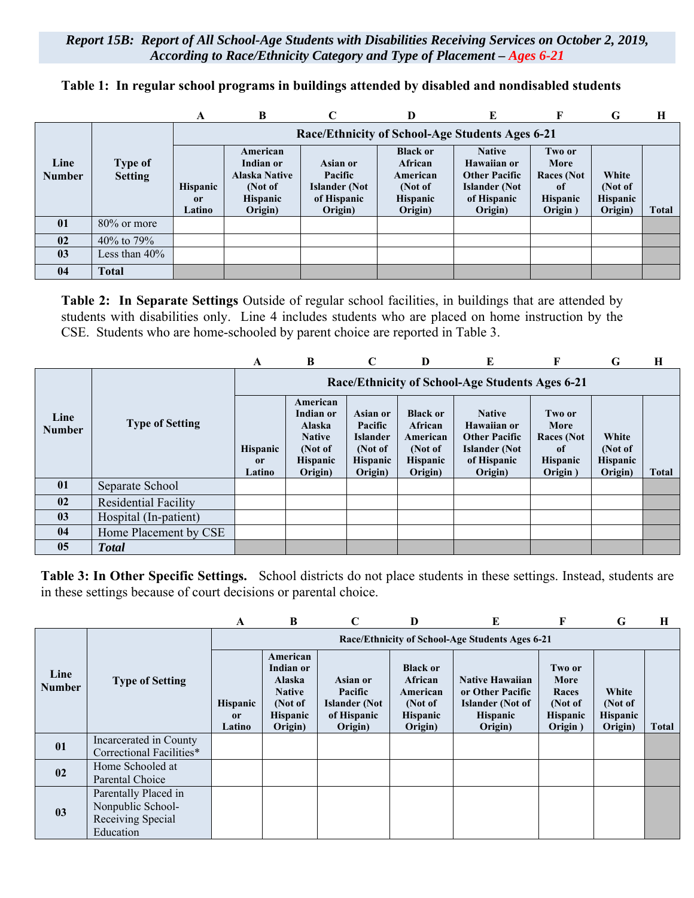*Report 15B: Report of All School-Age Students with Disabilities Receiving Services on October 2, 2019, According to Race/Ethnicity Category and Type of Placement – Ages 6-21*

|                       |                           | A                                          | B                                                                                      | C                                                                     | D                                                                               | F.                                                                                                     |                                                                          | G                                              | H     |
|-----------------------|---------------------------|--------------------------------------------|----------------------------------------------------------------------------------------|-----------------------------------------------------------------------|---------------------------------------------------------------------------------|--------------------------------------------------------------------------------------------------------|--------------------------------------------------------------------------|------------------------------------------------|-------|
|                       |                           |                                            |                                                                                        |                                                                       |                                                                                 | Race/Ethnicity of School-Age Students Ages 6-21                                                        |                                                                          |                                                |       |
| Line<br><b>Number</b> | Type of<br><b>Setting</b> | <b>Hispanic</b><br><sub>or</sub><br>Latino | American<br>Indian or<br><b>Alaska Native</b><br>(Not of<br><b>Hispanic</b><br>Origin) | Asian or<br>Pacific<br><b>Islander</b> (Not<br>of Hispanic<br>Origin) | <b>Black or</b><br>African<br>American<br>(Not of<br><b>Hispanic</b><br>Origin) | <b>Native</b><br>Hawaiian or<br><b>Other Pacific</b><br><b>Islander</b> (Not<br>of Hispanic<br>Origin) | Two or<br>More<br><b>Races</b> (Not<br>-of<br><b>Hispanic</b><br>Origin) | White<br>(Not of<br><b>Hispanic</b><br>Origin) | Total |
| 01                    | 80% or more               |                                            |                                                                                        |                                                                       |                                                                                 |                                                                                                        |                                                                          |                                                |       |
| 02                    | 40\% to 79\%              |                                            |                                                                                        |                                                                       |                                                                                 |                                                                                                        |                                                                          |                                                |       |
| 03                    | Less than $40\%$          |                                            |                                                                                        |                                                                       |                                                                                 |                                                                                                        |                                                                          |                                                |       |
| 04                    | <b>Total</b>              |                                            |                                                                                        |                                                                       |                                                                                 |                                                                                                        |                                                                          |                                                |       |

**Table 1: In regular school programs in buildings attended by disabled and nondisabled students** 

**Table 2: In Separate Settings** Outside of regular school facilities, in buildings that are attended by students with disabilities only. Line 4 includes students who are placed on home instruction by the CSE. Students who are home-schooled by parent choice are reported in Table 3.

|                       |                             | A                                          | B                                                                                                | C                                                                               | D                                                                                      | E                                                                                                      | F                                                                | G                                              | H            |
|-----------------------|-----------------------------|--------------------------------------------|--------------------------------------------------------------------------------------------------|---------------------------------------------------------------------------------|----------------------------------------------------------------------------------------|--------------------------------------------------------------------------------------------------------|------------------------------------------------------------------|------------------------------------------------|--------------|
|                       |                             |                                            |                                                                                                  |                                                                                 |                                                                                        | Race/Ethnicity of School-Age Students Ages 6-21                                                        |                                                                  |                                                |              |
| Line<br><b>Number</b> | <b>Type of Setting</b>      | <b>Hispanic</b><br><sub>or</sub><br>Latino | American<br>Indian or<br><b>Alaska</b><br><b>Native</b><br>(Not of<br><b>Hispanic</b><br>Origin) | Asian or<br>Pacific<br><b>Islander</b><br>(Not of<br><b>Hispanic</b><br>Origin) | <b>Black or</b><br><b>African</b><br>American<br>(Not of<br><b>Hispanic</b><br>Origin) | <b>Native</b><br>Hawaiian or<br><b>Other Pacific</b><br><b>Islander</b> (Not<br>of Hispanic<br>Origin) | Two or<br>More<br>Races (Not<br>0f<br><b>Hispanic</b><br>Origin) | White<br>(Not of<br><b>Hispanic</b><br>Origin) | <b>Total</b> |
| 01                    | Separate School             |                                            |                                                                                                  |                                                                                 |                                                                                        |                                                                                                        |                                                                  |                                                |              |
| 02                    | <b>Residential Facility</b> |                                            |                                                                                                  |                                                                                 |                                                                                        |                                                                                                        |                                                                  |                                                |              |
| 03                    | Hospital (In-patient)       |                                            |                                                                                                  |                                                                                 |                                                                                        |                                                                                                        |                                                                  |                                                |              |
| 04                    | Home Placement by CSE       |                                            |                                                                                                  |                                                                                 |                                                                                        |                                                                                                        |                                                                  |                                                |              |
| 0 <sub>5</sub>        | <b>T</b> otal               |                                            |                                                                                                  |                                                                                 |                                                                                        |                                                                                                        |                                                                  |                                                |              |

**Table 3: In Other Specific Settings.** School districts do not place students in these settings. Instead, students are in these settings because of court decisions or parental choice.

|                       |                                                                             | A                                          | B                                                                                                | C                                                                     | D                                                                               | E                                                                                                   | F                                                                | G                                              | Н     |
|-----------------------|-----------------------------------------------------------------------------|--------------------------------------------|--------------------------------------------------------------------------------------------------|-----------------------------------------------------------------------|---------------------------------------------------------------------------------|-----------------------------------------------------------------------------------------------------|------------------------------------------------------------------|------------------------------------------------|-------|
|                       |                                                                             |                                            |                                                                                                  |                                                                       |                                                                                 | Race/Ethnicity of School-Age Students Ages 6-21                                                     |                                                                  |                                                |       |
| Line<br><b>Number</b> | <b>Type of Setting</b>                                                      | <b>Hispanic</b><br><sub>or</sub><br>Latino | American<br>Indian or<br><b>Alaska</b><br><b>Native</b><br>(Not of<br><b>Hispanic</b><br>Origin) | Asian or<br>Pacific<br><b>Islander</b> (Not<br>of Hispanic<br>Origin) | <b>Black or</b><br>African<br>American<br>(Not of<br><b>Hispanic</b><br>Origin) | <b>Native Hawaiian</b><br>or Other Pacific<br><b>Islander</b> (Not of<br><b>Hispanic</b><br>Origin) | Two or<br>More<br>Races<br>(Not of<br><b>Hispanic</b><br>Origin) | White<br>(Not of<br><b>Hispanic</b><br>Origin) | Total |
| 01                    | Incarcerated in County<br>Correctional Facilities*                          |                                            |                                                                                                  |                                                                       |                                                                                 |                                                                                                     |                                                                  |                                                |       |
| 02                    | Home Schooled at<br>Parental Choice                                         |                                            |                                                                                                  |                                                                       |                                                                                 |                                                                                                     |                                                                  |                                                |       |
| 03                    | Parentally Placed in<br>Nonpublic School-<br>Receiving Special<br>Education |                                            |                                                                                                  |                                                                       |                                                                                 |                                                                                                     |                                                                  |                                                |       |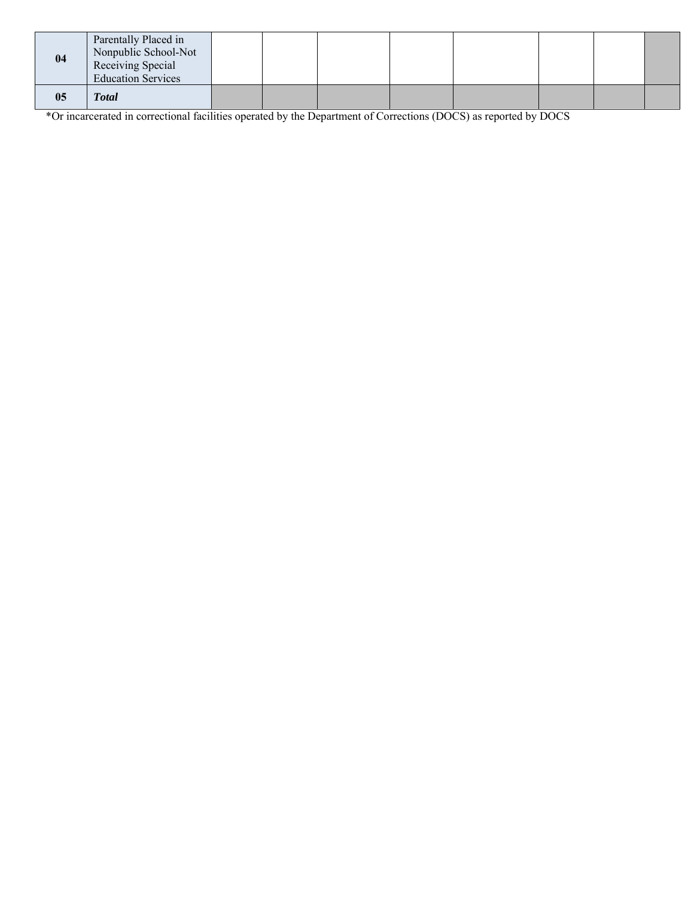| 04 | Parentally Placed in<br>Nonpublic School-Not<br>Receiving Special<br><b>Education Services</b> |  |  |  |  |
|----|------------------------------------------------------------------------------------------------|--|--|--|--|
| 05 | <b>Total</b>                                                                                   |  |  |  |  |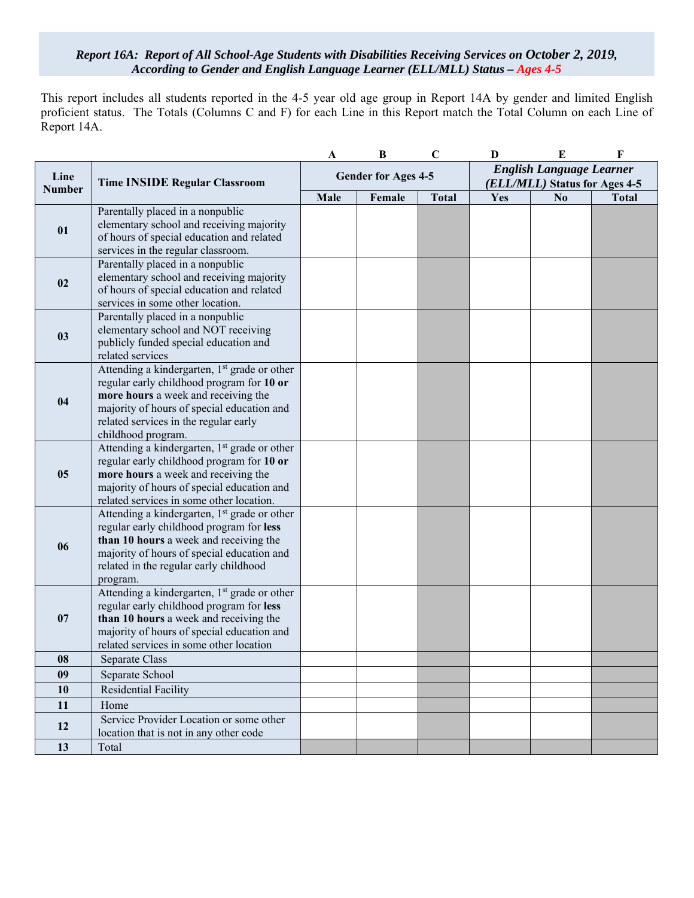#### *Report 16A: Report of All School-Age Students with Disabilities Receiving Services on October 2, 2019, According to Gender and English Language Learner (ELL/MLL) Status – Ages 4-5*

This report includes all students reported in the 4-5 year old age group in Report 14A by gender and limited English proficient status. The Totals (Columns C and F) for each Line in this Report match the Total Column on each Line of Report 14A.

|                       |                                                                                        | A    | $\bf{B}$                   | $\mathbf C$  | D                               | E                             | $\mathbf F$  |  |
|-----------------------|----------------------------------------------------------------------------------------|------|----------------------------|--------------|---------------------------------|-------------------------------|--------------|--|
|                       |                                                                                        |      |                            |              | <b>English Language Learner</b> |                               |              |  |
| Line<br><b>Number</b> | <b>Time INSIDE Regular Classroom</b>                                                   |      | <b>Gender for Ages 4-5</b> |              |                                 | (ELL/MLL) Status for Ages 4-5 |              |  |
|                       |                                                                                        | Male | Female                     | <b>Total</b> | Yes                             | No                            | <b>Total</b> |  |
|                       | Parentally placed in a nonpublic                                                       |      |                            |              |                                 |                               |              |  |
| 01                    | elementary school and receiving majority                                               |      |                            |              |                                 |                               |              |  |
|                       | of hours of special education and related                                              |      |                            |              |                                 |                               |              |  |
|                       | services in the regular classroom.                                                     |      |                            |              |                                 |                               |              |  |
|                       | Parentally placed in a nonpublic                                                       |      |                            |              |                                 |                               |              |  |
| 02                    | elementary school and receiving majority                                               |      |                            |              |                                 |                               |              |  |
|                       | of hours of special education and related                                              |      |                            |              |                                 |                               |              |  |
|                       | services in some other location.<br>Parentally placed in a nonpublic                   |      |                            |              |                                 |                               |              |  |
|                       | elementary school and NOT receiving                                                    |      |                            |              |                                 |                               |              |  |
| 03                    | publicly funded special education and                                                  |      |                            |              |                                 |                               |              |  |
|                       | related services                                                                       |      |                            |              |                                 |                               |              |  |
|                       | Attending a kindergarten, 1 <sup>st</sup> grade or other                               |      |                            |              |                                 |                               |              |  |
|                       | regular early childhood program for 10 or                                              |      |                            |              |                                 |                               |              |  |
| 04                    | more hours a week and receiving the                                                    |      |                            |              |                                 |                               |              |  |
|                       | majority of hours of special education and                                             |      |                            |              |                                 |                               |              |  |
|                       | related services in the regular early                                                  |      |                            |              |                                 |                               |              |  |
|                       | childhood program.                                                                     |      |                            |              |                                 |                               |              |  |
|                       | Attending a kindergarten, 1 <sup>st</sup> grade or other                               |      |                            |              |                                 |                               |              |  |
|                       | regular early childhood program for 10 or                                              |      |                            |              |                                 |                               |              |  |
| 05                    | more hours a week and receiving the                                                    |      |                            |              |                                 |                               |              |  |
|                       | majority of hours of special education and<br>related services in some other location. |      |                            |              |                                 |                               |              |  |
|                       | Attending a kindergarten, 1 <sup>st</sup> grade or other                               |      |                            |              |                                 |                               |              |  |
|                       | regular early childhood program for less                                               |      |                            |              |                                 |                               |              |  |
|                       | than 10 hours a week and receiving the                                                 |      |                            |              |                                 |                               |              |  |
| 06                    | majority of hours of special education and                                             |      |                            |              |                                 |                               |              |  |
|                       | related in the regular early childhood                                                 |      |                            |              |                                 |                               |              |  |
|                       | program.                                                                               |      |                            |              |                                 |                               |              |  |
|                       | Attending a kindergarten, 1 <sup>st</sup> grade or other                               |      |                            |              |                                 |                               |              |  |
|                       | regular early childhood program for less                                               |      |                            |              |                                 |                               |              |  |
| 07                    | than 10 hours a week and receiving the                                                 |      |                            |              |                                 |                               |              |  |
|                       | majority of hours of special education and<br>related services in some other location  |      |                            |              |                                 |                               |              |  |
| 08                    | Separate Class                                                                         |      |                            |              |                                 |                               |              |  |
| 09                    |                                                                                        |      |                            |              |                                 |                               |              |  |
|                       | Separate School                                                                        |      |                            |              |                                 |                               |              |  |
| 10                    | Residential Facility                                                                   |      |                            |              |                                 |                               |              |  |
| 11                    | Home                                                                                   |      |                            |              |                                 |                               |              |  |
| 12                    | Service Provider Location or some other<br>location that is not in any other code      |      |                            |              |                                 |                               |              |  |
| 13                    | Total                                                                                  |      |                            |              |                                 |                               |              |  |
|                       |                                                                                        |      |                            |              |                                 |                               |              |  |